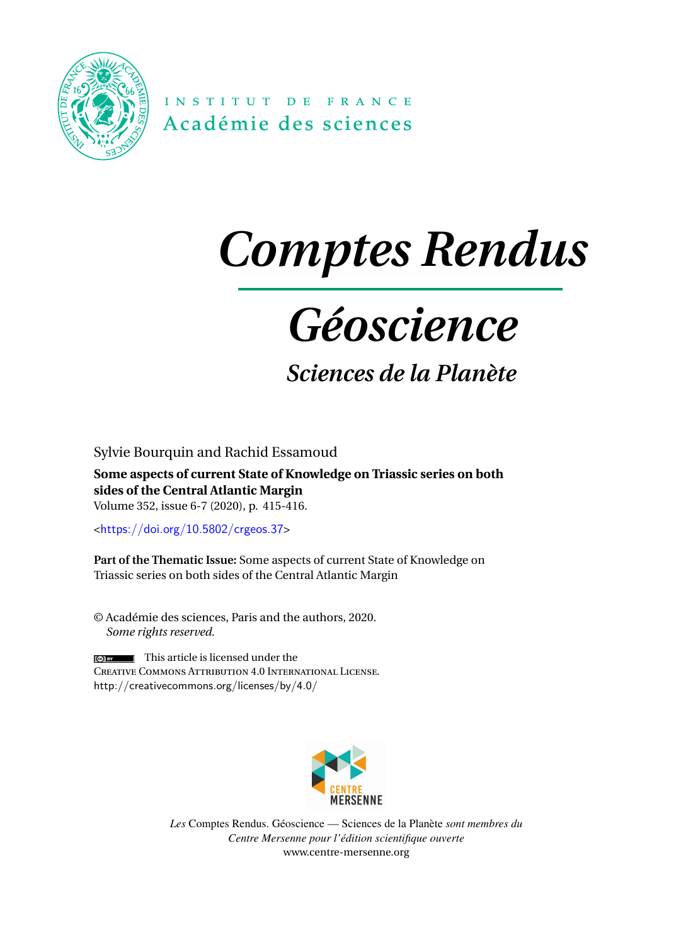

INSTITUT DE FRANCE Académie des sciences

# *Comptes Rendus*

## *Géoscience*

### *Sciences de la Planète*

Sylvie Bourquin and Rachid Essamoud

**Some aspects of current State of Knowledge on Triassic series on both sides of the Central Atlantic Margin** Volume 352, issue 6-7 (2020), p. 415-416.

<<https://doi.org/10.5802/crgeos.37>>

**Part of the Thematic Issue:** Some aspects of current State of Knowledge on Triassic series on both sides of the Central Atlantic Margin

© Académie des sciences, Paris and the authors, 2020. *Some rights reserved.*

 $\left| \right|$  This article is licensed under the Creative Commons Attribution 4.0 International License. <http://creativecommons.org/licenses/by/4.0/>



*Les* Comptes Rendus. Géoscience — Sciences de la Planète *sont membres du Centre Mersenne pour l'édition scientifique ouverte* [www.centre-mersenne.org](https://www.centre-mersenne.org)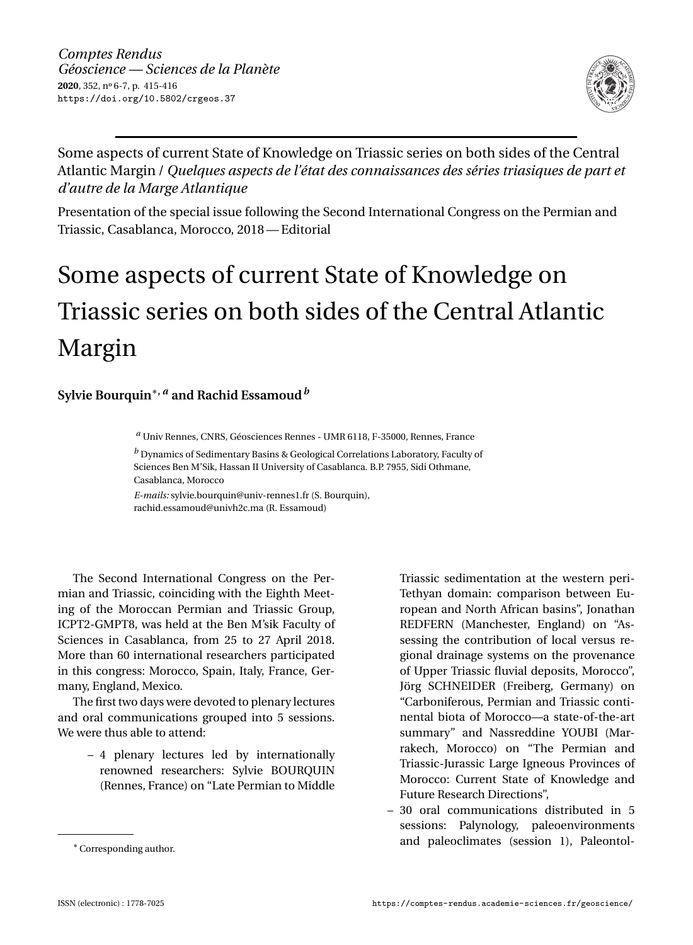

Some aspects of current State of Knowledge on Triassic series on both sides of the Central Atlantic Margin / *Quelques aspects de l'état des connaissances des séries triasiques de part et d'autre de la Marge Atlantique*

Presentation of the special issue following the Second International Congress on the Permian and Triassic, Casablanca, Morocco, 2018— Editorial

### Some aspects of current State of Knowledge on Triassic series on both sides of the Central Atlantic Margin

#### **Sylvie Bourquin**∗**,** *<sup>a</sup>* **and Rachid Essamoud***<sup>b</sup>*

*<sup>a</sup>* Univ Rennes, CNRS, Géosciences Rennes - UMR 6118, F-35000, Rennes, France

*<sup>b</sup>* Dynamics of Sedimentary Basins & Geological Correlations Laboratory, Faculty of Sciences Ben M'Sik, Hassan II University of Casablanca. B.P. 7955, Sidi Othmane, Casablanca, Morocco

*E-mails:* [sylvie.bourquin@univ-rennes1.fr](mailto:sylvie.bourquin@univ-rennes1.fr) (S. Bourquin), [rachid.essamoud@univh2c.ma](mailto:rachid.essamoud@univh2c.ma) (R. Essamoud)

The Second International Congress on the Permian and Triassic, coinciding with the Eighth Meeting of the Moroccan Permian and Triassic Group, ICPT2-GMPT8, was held at the Ben M'sik Faculty of Sciences in Casablanca, from 25 to 27 April 2018. More than 60 international researchers participated in this congress: Morocco, Spain, Italy, France, Germany, England, Mexico.

The first two days were devoted to plenary lectures and oral communications grouped into 5 sessions. We were thus able to attend:

> – 4 plenary lectures led by internationally renowned researchers: Sylvie BOURQUIN (Rennes, France) on "Late Permian to Middle

Triassic sedimentation at the western peri-Tethyan domain: comparison between European and North African basins", Jonathan REDFERN (Manchester, England) on "Assessing the contribution of local versus regional drainage systems on the provenance of Upper Triassic fluvial deposits, Morocco", Jörg SCHNEIDER (Freiberg, Germany) on "Carboniferous, Permian and Triassic continental biota of Morocco—a state-of-the-art summary" and Nassreddine YOUBI (Marrakech, Morocco) on "The Permian and Triassic-Jurassic Large Igneous Provinces of Morocco: Current State of Knowledge and Future Research Directions",

– 30 oral communications distributed in 5 sessions: Palynology, paleoenvironments and paleoclimates (session 1), Paleontol-

<sup>∗</sup>Corresponding author.